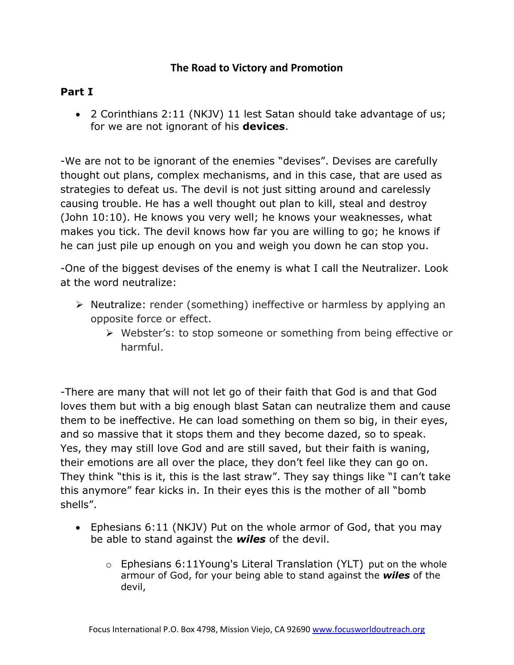## **The Road to Victory and Promotion**

## **Part I**

 2 Corinthians 2:11 (NKJV) 11 lest Satan should take advantage of us; for we are not ignorant of his **devices**.

-We are not to be ignorant of the enemies "devises". Devises are carefully thought out plans, complex mechanisms, and in this case, that are used as strategies to defeat us. The devil is not just sitting around and carelessly causing trouble. He has a well thought out plan to kill, steal and destroy (John 10:10). He knows you very well; he knows your weaknesses, what makes you tick. The devil knows how far you are willing to go; he knows if he can just pile up enough on you and weigh you down he can stop you.

-One of the biggest devises of the enemy is what I call the Neutralizer. Look at the word neutralize:

- $\triangleright$  Neutralize: render (something) ineffective or harmless by applying an opposite force or effect.
	- Webster's: to stop someone or something from being effective or harmful.

-There are many that will not let go of their faith that God is and that God loves them but with a big enough blast Satan can neutralize them and cause them to be ineffective. He can load something on them so big, in their eyes, and so massive that it stops them and they become dazed, so to speak. Yes, they may still love God and are still saved, but their faith is waning, their emotions are all over the place, they don't feel like they can go on. They think "this is it, this is the last straw". They say things like "I can't take this anymore" fear kicks in. In their eyes this is the mother of all "bomb shells".

- Ephesians 6:11 (NKJV) Put on the whole armor of God, that you may be able to stand against the *wiles* of the devil.
	- $\circ$  Ephesians 6:11Young's Literal Translation (YLT) put on the whole armour of God, for your being able to stand against the *wiles* of the devil,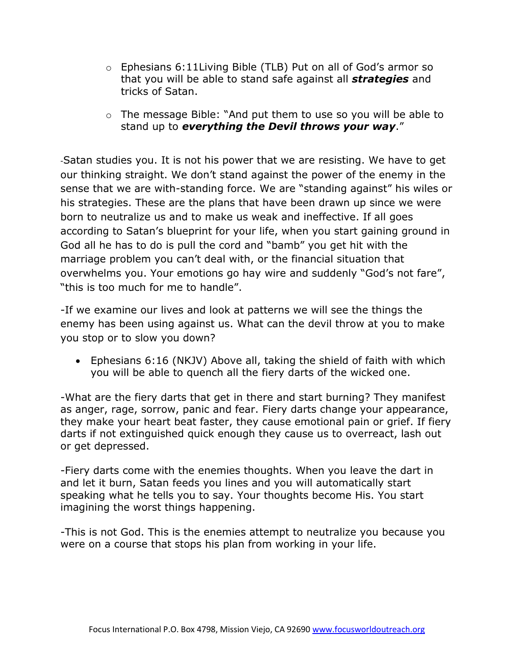- $\circ$  Ephesians 6:11Living Bible (TLB) Put on all of God's armor so that you will be able to stand safe against all *strategies* and tricks of Satan.
- o The message Bible: "And put them to use so you will be able to stand up to *everything the Devil throws your way*."

-Satan studies you. It is not his power that we are resisting. We have to get our thinking straight. We don't stand against the power of the enemy in the sense that we are with-standing force. We are "standing against" his wiles or his strategies. These are the plans that have been drawn up since we were born to neutralize us and to make us weak and ineffective. If all goes according to Satan's blueprint for your life, when you start gaining ground in God all he has to do is pull the cord and "bamb" you get hit with the marriage problem you can't deal with, or the financial situation that overwhelms you. Your emotions go hay wire and suddenly "God's not fare", "this is too much for me to handle".

-If we examine our lives and look at patterns we will see the things the enemy has been using against us. What can the devil throw at you to make you stop or to slow you down?

 Ephesians 6:16 (NKJV) Above all, taking the shield of faith with which you will be able to quench all the fiery darts of the wicked one.

-What are the fiery darts that get in there and start burning? They manifest as anger, rage, sorrow, panic and fear. Fiery darts change your appearance, they make your heart beat faster, they cause emotional pain or grief. If fiery darts if not extinguished quick enough they cause us to overreact, lash out or get depressed.

-Fiery darts come with the enemies thoughts. When you leave the dart in and let it burn, Satan feeds you lines and you will automatically start speaking what he tells you to say. Your thoughts become His. You start imagining the worst things happening.

-This is not God. This is the enemies attempt to neutralize you because you were on a course that stops his plan from working in your life.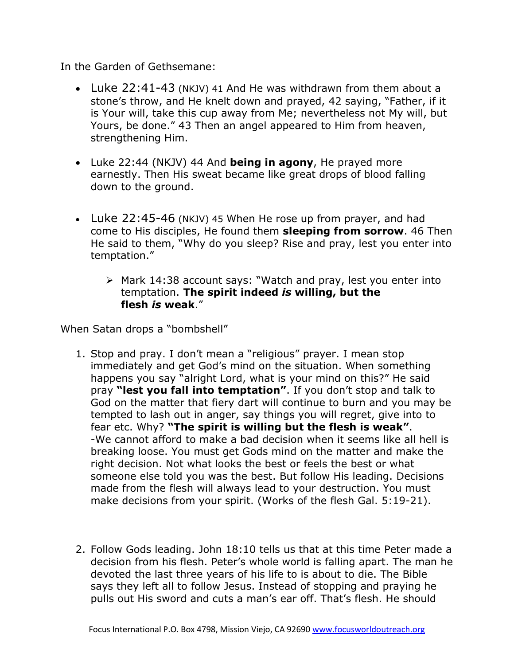In the Garden of Gethsemane:

- Luke 22:41-43 (NKJV) 41 And He was withdrawn from them about a stone's throw, and He knelt down and prayed, 42 saying, "Father, if it is Your will, take this cup away from Me; nevertheless not My will, but Yours, be done." 43 Then an angel appeared to Him from heaven, strengthening Him.
- Luke 22:44 (NKJV) 44 And **being in agony**, He prayed more earnestly. Then His sweat became like great drops of blood falling down to the ground.
- Luke 22:45-46 (NKJV) 45 When He rose up from prayer, and had come to His disciples, He found them **sleeping from sorrow**. 46 Then He said to them, "Why do you sleep? Rise and pray, lest you enter into temptation."
	- $\triangleright$  Mark 14:38 account says: "Watch and pray, lest you enter into temptation. **The spirit indeed** *is* **willing, but the flesh** *is* **weak**."

When Satan drops a "bombshell"

- 1. Stop and pray. I don't mean a "religious" prayer. I mean stop immediately and get God's mind on the situation. When something happens you say "alright Lord, what is your mind on this?" He said pray **"lest you fall into temptation"**. If you don't stop and talk to God on the matter that fiery dart will continue to burn and you may be tempted to lash out in anger, say things you will regret, give into to fear etc. Why? **"The spirit is willing but the flesh is weak"**. -We cannot afford to make a bad decision when it seems like all hell is breaking loose. You must get Gods mind on the matter and make the right decision. Not what looks the best or feels the best or what someone else told you was the best. But follow His leading. Decisions made from the flesh will always lead to your destruction. You must make decisions from your spirit. (Works of the flesh Gal. 5:19-21).
- 2. Follow Gods leading. John 18:10 tells us that at this time Peter made a decision from his flesh. Peter's whole world is falling apart. The man he devoted the last three years of his life to is about to die. The Bible says they left all to follow Jesus. Instead of stopping and praying he pulls out His sword and cuts a man's ear off. That's flesh. He should